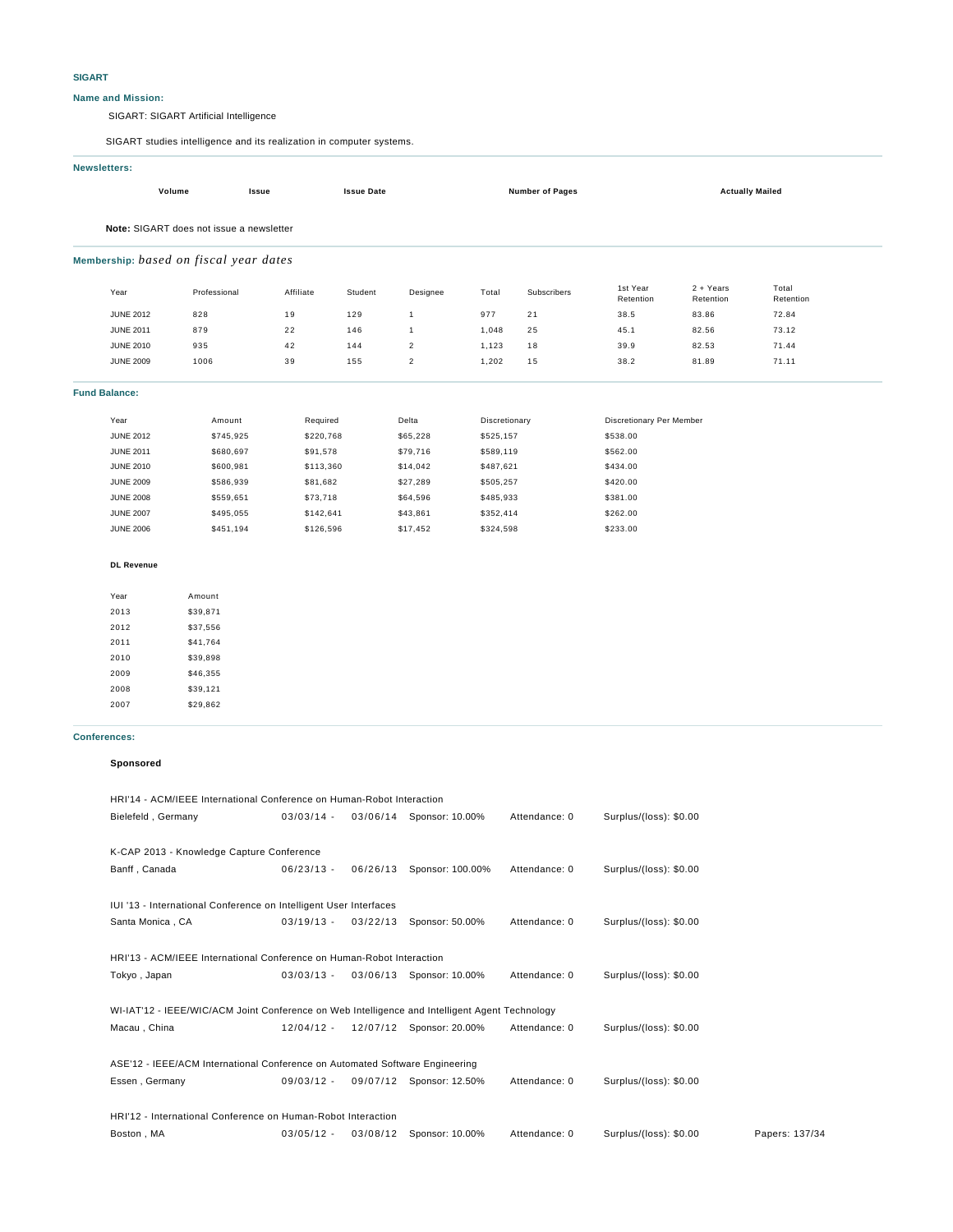## **SIGART**

### **Name and Mission:**

## SIGART: SIGART Artificial Intelligence

SIGART studies intelligence and its realization in computer systems.

### **Newsletters:**

|                      | Volume<br><b>Issue</b>                   |           | <b>Issue Date</b> |                |               | <b>Number of Pages</b> |                          |                        | <b>Actually Mailed</b> |
|----------------------|------------------------------------------|-----------|-------------------|----------------|---------------|------------------------|--------------------------|------------------------|------------------------|
|                      | Note: SIGART does not issue a newsletter |           |                   |                |               |                        |                          |                        |                        |
|                      | Membership: based on fiscal year dates   |           |                   |                |               |                        |                          |                        |                        |
| Year                 | Professional                             | Affiliate | Student           | Designee       | Total         | Subscribers            | 1st Year<br>Retention    | 2 + Years<br>Retention | Total<br>Retention     |
| <b>JUNE 2012</b>     | 828                                      | 19        | 129               | $\mathbf{1}$   | 977           | 21                     | 38.5                     | 83.86                  | 72.84                  |
| <b>JUNE 2011</b>     | 879                                      | 22        | 146               | $\mathbf{1}$   | 1,048         | 25                     | 45.1                     | 82.56                  | 73.12                  |
| <b>JUNE 2010</b>     | 935                                      | 42        | 144               | $\overline{c}$ | 1,123         | 18                     | 39.9                     | 82.53                  | 71.44                  |
| <b>JUNE 2009</b>     | 1006                                     | 39        | 155               | $\sqrt{2}$     | 1,202         | 15                     | 38.2                     | 81.89                  | 71.11                  |
| <b>Fund Balance:</b> |                                          |           |                   |                |               |                        |                          |                        |                        |
| Year                 | Amount                                   | Required  |                   | Delta          | Discretionary |                        | Discretionary Per Member |                        |                        |
| <b>JUNE 2012</b>     | \$745,925                                | \$220,768 |                   | \$65,228       | \$525,157     |                        | \$538.00                 |                        |                        |
| <b>JUNE 2011</b>     | \$680,697                                | \$91,578  |                   | \$79,716       | \$589,119     |                        | \$562.00                 |                        |                        |
| <b>JUNE 2010</b>     | \$600,981                                | \$113,360 |                   | \$14,042       | \$487,621     |                        | \$434.00                 |                        |                        |
| <b>JUNE 2009</b>     | \$586,939                                | \$81,682  |                   | \$27,289       | \$505,257     |                        | \$420.00                 |                        |                        |
| <b>JUNE 2008</b>     | \$559,651                                | \$73,718  |                   | \$64,596       | \$485,933     |                        | \$381.00                 |                        |                        |
| <b>JUNE 2007</b>     | \$495,055                                | \$142,641 |                   | \$43,861       | \$352,414     |                        | \$262.00                 |                        |                        |
| <b>JUNE 2006</b>     | \$451,194                                | \$126,596 |                   | \$17,452       | \$324,598     |                        | \$233.00                 |                        |                        |
|                      |                                          |           |                   |                |               |                        |                          |                        |                        |
| <b>DL Revenue</b>    |                                          |           |                   |                |               |                        |                          |                        |                        |

| Year | Amount   |
|------|----------|
| 2013 | \$39,871 |
| 2012 | \$37.556 |
| 2011 | \$41.764 |
| 2010 | \$39,898 |
| 2009 | \$46,355 |
| 2008 | \$39.121 |
| 2007 | \$29.862 |

### **Conferences:**

### **Sponsored**

| HRI'14 - ACM/IEEE International Conference on Human-Robot Interaction                          |              |          |                          |               |                        |                |  |
|------------------------------------------------------------------------------------------------|--------------|----------|--------------------------|---------------|------------------------|----------------|--|
| Bielefeld, Germany                                                                             | $03/03/14 -$ |          | 03/06/14 Sponsor: 10.00% | Attendance: 0 | Surplus/(loss): \$0.00 |                |  |
| K-CAP 2013 - Knowledge Capture Conference                                                      |              |          |                          |               |                        |                |  |
| Banff, Canada                                                                                  | $06/23/13 -$ | 06/26/13 | Sponsor: 100.00%         | Attendance: 0 | Surplus/(loss): \$0.00 |                |  |
| IUI '13 - International Conference on Intelligent User Interfaces                              |              |          |                          |               |                        |                |  |
| Santa Monica, CA                                                                               | $03/19/13 -$ | 03/22/13 | Sponsor: 50.00%          | Attendance: 0 | Surplus/(loss): \$0.00 |                |  |
| HRI'13 - ACM/IEEE International Conference on Human-Robot Interaction                          |              |          |                          |               |                        |                |  |
| Tokyo, Japan                                                                                   | $03/03/13 -$ |          | 03/06/13 Sponsor: 10.00% | Attendance: 0 | Surplus/(loss): \$0.00 |                |  |
| WI-IAT'12 - IEEE/WIC/ACM Joint Conference on Web Intelligence and Intelligent Agent Technology |              |          |                          |               |                        |                |  |
| Macau, China                                                                                   | $12/04/12 -$ |          | 12/07/12 Sponsor: 20.00% | Attendance: 0 | Surplus/(loss): \$0.00 |                |  |
| ASE'12 - IEEE/ACM International Conference on Automated Software Engineering                   |              |          |                          |               |                        |                |  |
| Essen, Germany                                                                                 | $09/03/12 -$ |          | 09/07/12 Sponsor: 12.50% | Attendance: 0 | Surplus/(loss): \$0.00 |                |  |
| HRI'12 - International Conference on Human-Robot Interaction                                   |              |          |                          |               |                        |                |  |
| Boston, MA                                                                                     | $03/05/12 -$ | 03/08/12 | Sponsor: 10.00%          | Attendance: 0 | Surplus/(loss): \$0.00 | Papers: 137/34 |  |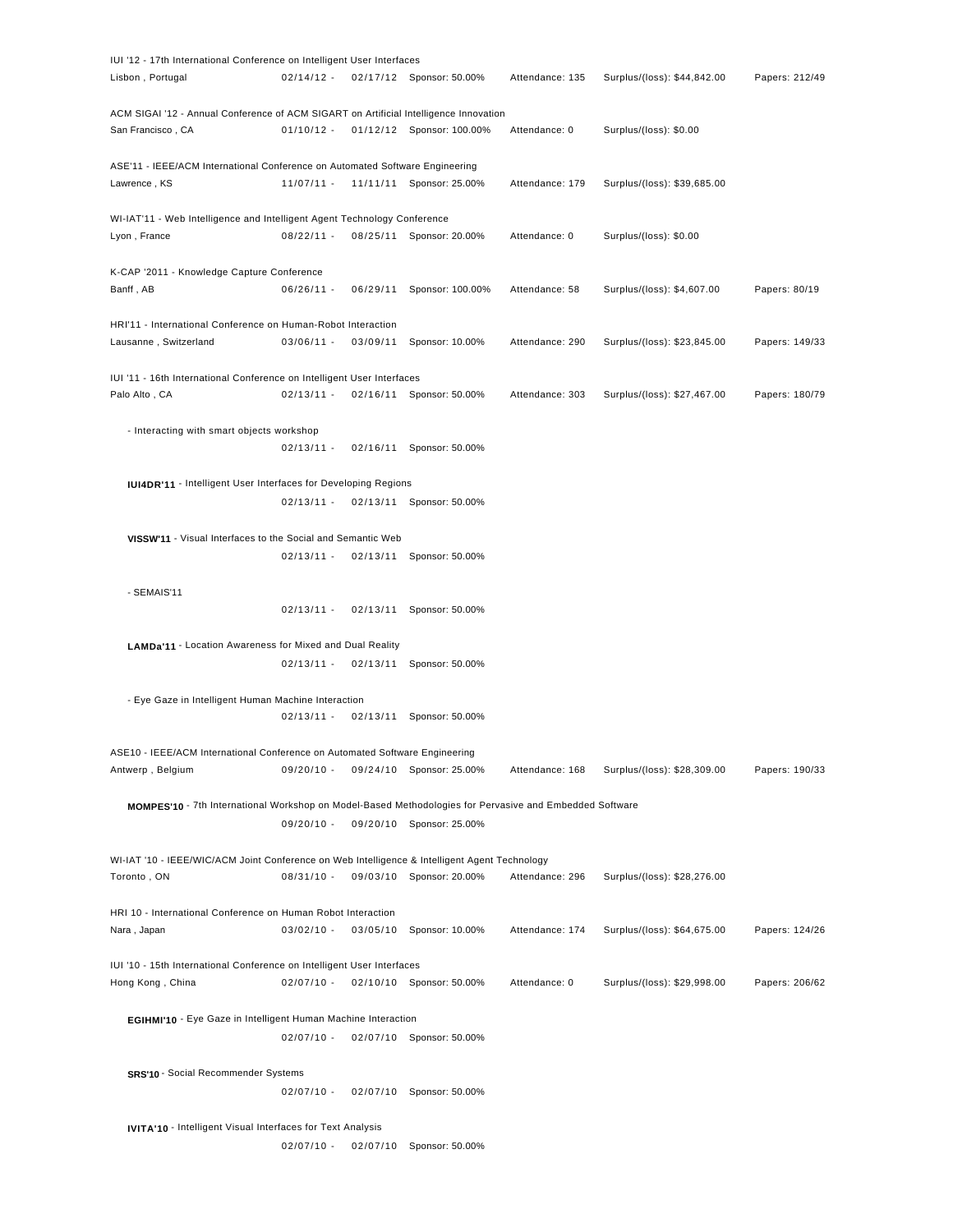| IUI '12 - 17th International Conference on Intelligent User Interfaces                                       |              |          |                           |                 |                             |                |
|--------------------------------------------------------------------------------------------------------------|--------------|----------|---------------------------|-----------------|-----------------------------|----------------|
| Lisbon, Portugal                                                                                             | $02/14/12 -$ |          | 02/17/12 Sponsor: 50.00%  | Attendance: 135 | Surplus/(loss): \$44,842.00 | Papers: 212/49 |
| ACM SIGAI '12 - Annual Conference of ACM SIGART on Artificial Intelligence Innovation<br>San Francisco, CA   | $01/10/12 -$ |          | 01/12/12 Sponsor: 100.00% | Attendance: 0   | Surplus/(loss): \$0.00      |                |
| ASE'11 - IEEE/ACM International Conference on Automated Software Engineering<br>Lawrence, KS                 | $11/07/11 -$ |          | 11/11/11 Sponsor: 25.00%  | Attendance: 179 | Surplus/(loss): \$39,685.00 |                |
| WI-IAT'11 - Web Intelligence and Intelligent Agent Technology Conference                                     |              |          |                           |                 |                             |                |
| Lyon, France                                                                                                 | $08/22/11 -$ |          | 08/25/11 Sponsor: 20.00%  | Attendance: 0   | Surplus/(loss): \$0.00      |                |
| K-CAP '2011 - Knowledge Capture Conference                                                                   |              |          |                           |                 |                             |                |
| Banff, AB                                                                                                    | $06/26/11 -$ | 06/29/11 | Sponsor: 100.00%          | Attendance: 58  | Surplus/(loss): \$4,607.00  | Papers: 80/19  |
| HRI'11 - International Conference on Human-Robot Interaction                                                 |              |          |                           |                 |                             |                |
| Lausanne, Switzerland                                                                                        | $03/06/11 -$ | 03/09/11 | Sponsor: 10.00%           | Attendance: 290 | Surplus/(loss): \$23,845.00 | Papers: 149/33 |
| IUI '11 - 16th International Conference on Intelligent User Interfaces                                       |              |          |                           |                 |                             |                |
| Palo Alto, CA                                                                                                | $02/13/11 -$ |          | 02/16/11 Sponsor: 50.00%  | Attendance: 303 | Surplus/(loss): \$27,467.00 | Papers: 180/79 |
|                                                                                                              |              |          |                           |                 |                             |                |
| - Interacting with smart objects workshop                                                                    | $02/13/11 -$ | 02/16/11 | Sponsor: 50.00%           |                 |                             |                |
|                                                                                                              |              |          |                           |                 |                             |                |
| <b>IUI4DR'11</b> - Intelligent User Interfaces for Developing Regions                                        | $02/13/11 -$ |          | 02/13/11 Sponsor: 50.00%  |                 |                             |                |
|                                                                                                              |              |          |                           |                 |                             |                |
| VISSW'11 - Visual Interfaces to the Social and Semantic Web                                                  |              |          |                           |                 |                             |                |
|                                                                                                              | $02/13/11 -$ | 02/13/11 | Sponsor: 50.00%           |                 |                             |                |
| - SEMAIS'11                                                                                                  |              |          |                           |                 |                             |                |
|                                                                                                              | $02/13/11 -$ | 02/13/11 | Sponsor: 50.00%           |                 |                             |                |
|                                                                                                              |              |          |                           |                 |                             |                |
| LAMDa'11 - Location Awareness for Mixed and Dual Reality                                                     | $02/13/11 -$ | 02/13/11 | Sponsor: 50.00%           |                 |                             |                |
|                                                                                                              |              |          |                           |                 |                             |                |
| - Eye Gaze in Intelligent Human Machine Interaction                                                          | $02/13/11 -$ | 02/13/11 | Sponsor: 50.00%           |                 |                             |                |
|                                                                                                              |              |          |                           |                 |                             |                |
| ASE10 - IEEE/ACM International Conference on Automated Software Engineering                                  |              |          |                           |                 |                             |                |
| Antwerp, Belgium                                                                                             | $09/20/10 -$ |          | 09/24/10 Sponsor: 25.00%  | Attendance: 168 | Surplus/(loss): \$28,309.00 | Papers: 190/33 |
| MOMPES'10 - 7th International Workshop on Model-Based Methodologies for Pervasive and Embedded Software      |              |          |                           |                 |                             |                |
|                                                                                                              | $09/20/10 -$ |          | 09/20/10 Sponsor: 25.00%  |                 |                             |                |
| WI-IAT '10 - IEEE/WIC/ACM Joint Conference on Web Intelligence & Intelligent Agent Technology<br>Toronto, ON | $08/31/10 -$ |          | 09/03/10 Sponsor: 20.00%  | Attendance: 296 | Surplus/(loss): \$28,276.00 |                |
| HRI 10 - International Conference on Human Robot Interaction                                                 |              |          |                           |                 |                             |                |
| Nara, Japan                                                                                                  | $03/02/10 -$ | 03/05/10 | Sponsor: 10.00%           | Attendance: 174 | Surplus/(loss): \$64,675.00 | Papers: 124/26 |
|                                                                                                              |              |          |                           |                 |                             |                |
| IUI '10 - 15th International Conference on Intelligent User Interfaces<br>Hong Kong, China                   | $02/07/10 -$ |          | 02/10/10 Sponsor: 50.00%  | Attendance: 0   | Surplus/(loss): \$29,998.00 | Papers: 206/62 |
| EGIHMI'10 - Eye Gaze in Intelligent Human Machine Interaction                                                |              |          |                           |                 |                             |                |
|                                                                                                              | $02/07/10 -$ |          | 02/07/10 Sponsor: 50.00%  |                 |                             |                |
| SRS'10 - Social Recommender Systems                                                                          |              |          |                           |                 |                             |                |
|                                                                                                              | $02/07/10 -$ | 02/07/10 | Sponsor: 50.00%           |                 |                             |                |
|                                                                                                              |              |          |                           |                 |                             |                |
| <b>IVITA'10</b> - Intelligent Visual Interfaces for Text Analysis                                            |              |          |                           |                 |                             |                |
|                                                                                                              | $02/07/10 -$ | 02/07/10 | Sponsor: 50.00%           |                 |                             |                |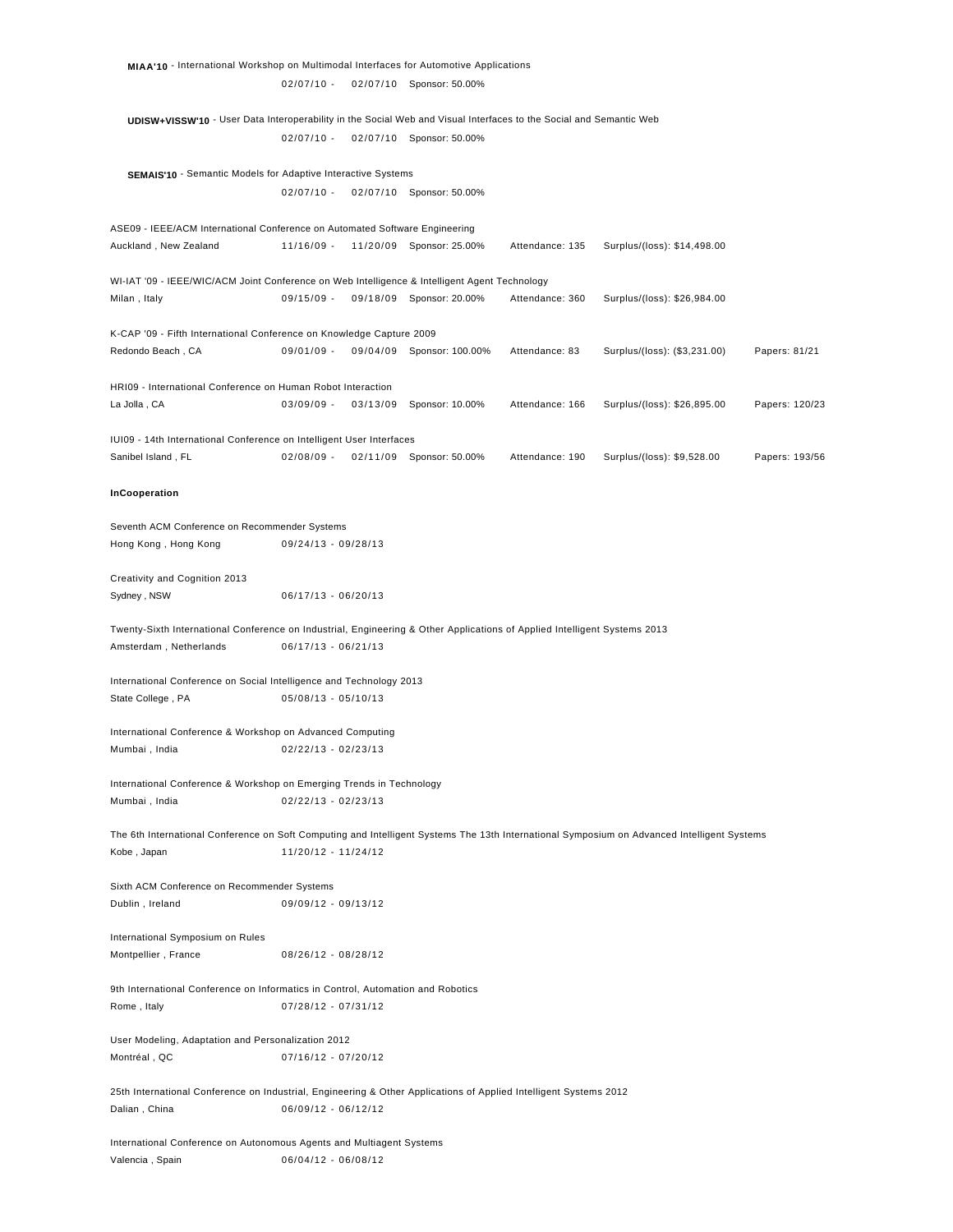| MIAA'10 - International Workshop on Multimodal Interfaces for Automotive Applications                                                       |                       |          |                           |                 |                              |                |
|---------------------------------------------------------------------------------------------------------------------------------------------|-----------------------|----------|---------------------------|-----------------|------------------------------|----------------|
|                                                                                                                                             | $02/07/10 -$          |          | 02/07/10 Sponsor: 50.00%  |                 |                              |                |
| UDISW+VISSW'10 - User Data Interoperability in the Social Web and Visual Interfaces to the Social and Semantic Web                          |                       |          |                           |                 |                              |                |
|                                                                                                                                             | $02/07/10 -$          |          | 02/07/10 Sponsor: 50.00%  |                 |                              |                |
|                                                                                                                                             |                       |          |                           |                 |                              |                |
| SEMAIS'10 - Semantic Models for Adaptive Interactive Systems                                                                                |                       |          |                           |                 |                              |                |
|                                                                                                                                             | $02/07/10 -$          |          | 02/07/10 Sponsor: 50.00%  |                 |                              |                |
| ASE09 - IEEE/ACM International Conference on Automated Software Engineering                                                                 |                       |          |                           |                 |                              |                |
| Auckland, New Zealand                                                                                                                       | $11/16/09 -$          |          | 11/20/09 Sponsor: 25.00%  | Attendance: 135 | Surplus/(loss): \$14,498.00  |                |
|                                                                                                                                             |                       |          |                           |                 |                              |                |
| WI-IAT '09 - IEEE/WIC/ACM Joint Conference on Web Intelligence & Intelligent Agent Technology                                               |                       |          |                           |                 |                              |                |
| Milan , Italy                                                                                                                               | $09/15/09 -$          |          | 09/18/09 Sponsor: 20.00%  | Attendance: 360 | Surplus/(loss): \$26,984.00  |                |
| K-CAP '09 - Fifth International Conference on Knowledge Capture 2009                                                                        |                       |          |                           |                 |                              |                |
| Redondo Beach, CA                                                                                                                           | $09/01/09 -$          |          | 09/04/09 Sponsor: 100.00% | Attendance: 83  | Surplus/(loss): (\$3,231.00) | Papers: 81/21  |
|                                                                                                                                             |                       |          |                           |                 |                              |                |
| HRI09 - International Conference on Human Robot Interaction                                                                                 |                       |          |                           |                 |                              |                |
| La Jolla , CA                                                                                                                               | $03/09/09 -$          | 03/13/09 | Sponsor: 10.00%           | Attendance: 166 | Surplus/(loss): \$26,895.00  | Papers: 120/23 |
| IUI09 - 14th International Conference on Intelligent User Interfaces                                                                        |                       |          |                           |                 |                              |                |
| Sanibel Island, FL                                                                                                                          | $02/08/09$ -          |          | 02/11/09 Sponsor: 50.00%  | Attendance: 190 | Surplus/(loss): \$9,528.00   | Papers: 193/56 |
|                                                                                                                                             |                       |          |                           |                 |                              |                |
| InCooperation                                                                                                                               |                       |          |                           |                 |                              |                |
| Seventh ACM Conference on Recommender Systems                                                                                               |                       |          |                           |                 |                              |                |
| Hong Kong, Hong Kong                                                                                                                        | 09/24/13 - 09/28/13   |          |                           |                 |                              |                |
|                                                                                                                                             |                       |          |                           |                 |                              |                |
| Creativity and Cognition 2013<br>Sydney, NSW                                                                                                | 06/17/13 - 06/20/13   |          |                           |                 |                              |                |
|                                                                                                                                             |                       |          |                           |                 |                              |                |
| Twenty-Sixth International Conference on Industrial, Engineering & Other Applications of Applied Intelligent Systems 2013                   |                       |          |                           |                 |                              |                |
| Amsterdam, Netherlands                                                                                                                      | 06/17/13 - 06/21/13   |          |                           |                 |                              |                |
| International Conference on Social Intelligence and Technology 2013                                                                         |                       |          |                           |                 |                              |                |
| State College, PA                                                                                                                           | $05/08/13 - 05/10/13$ |          |                           |                 |                              |                |
|                                                                                                                                             |                       |          |                           |                 |                              |                |
| International Conference & Workshop on Advanced Computing<br>Mumbai , India                                                                 | $02/22/13 - 02/23/13$ |          |                           |                 |                              |                |
|                                                                                                                                             |                       |          |                           |                 |                              |                |
| International Conference & Workshop on Emerging Trends in Technology                                                                        |                       |          |                           |                 |                              |                |
| Mumbai, India                                                                                                                               | 02/22/13 - 02/23/13   |          |                           |                 |                              |                |
| The 6th International Conference on Soft Computing and Intelligent Systems The 13th International Symposium on Advanced Intelligent Systems |                       |          |                           |                 |                              |                |
| Kobe, Japan                                                                                                                                 | 11/20/12 - 11/24/12   |          |                           |                 |                              |                |
|                                                                                                                                             |                       |          |                           |                 |                              |                |
| Sixth ACM Conference on Recommender Systems                                                                                                 |                       |          |                           |                 |                              |                |
| Dublin, Ireland                                                                                                                             | 09/09/12 - 09/13/12   |          |                           |                 |                              |                |
| International Symposium on Rules                                                                                                            |                       |          |                           |                 |                              |                |
| Montpellier, France                                                                                                                         | 08/26/12 - 08/28/12   |          |                           |                 |                              |                |
|                                                                                                                                             |                       |          |                           |                 |                              |                |
| 9th International Conference on Informatics in Control, Automation and Robotics<br>Rome, Italy                                              | 07/28/12 - 07/31/12   |          |                           |                 |                              |                |
|                                                                                                                                             |                       |          |                           |                 |                              |                |
| User Modeling, Adaptation and Personalization 2012                                                                                          |                       |          |                           |                 |                              |                |
| Montréal , QC                                                                                                                               | $07/16/12 - 07/20/12$ |          |                           |                 |                              |                |
| 25th International Conference on Industrial, Engineering & Other Applications of Applied Intelligent Systems 2012                           |                       |          |                           |                 |                              |                |
| Dalian , China                                                                                                                              | 06/09/12 - 06/12/12   |          |                           |                 |                              |                |
|                                                                                                                                             |                       |          |                           |                 |                              |                |
| International Conference on Autonomous Agents and Multiagent Systems<br>Valencia, Spain                                                     | 06/04/12 - 06/08/12   |          |                           |                 |                              |                |
|                                                                                                                                             |                       |          |                           |                 |                              |                |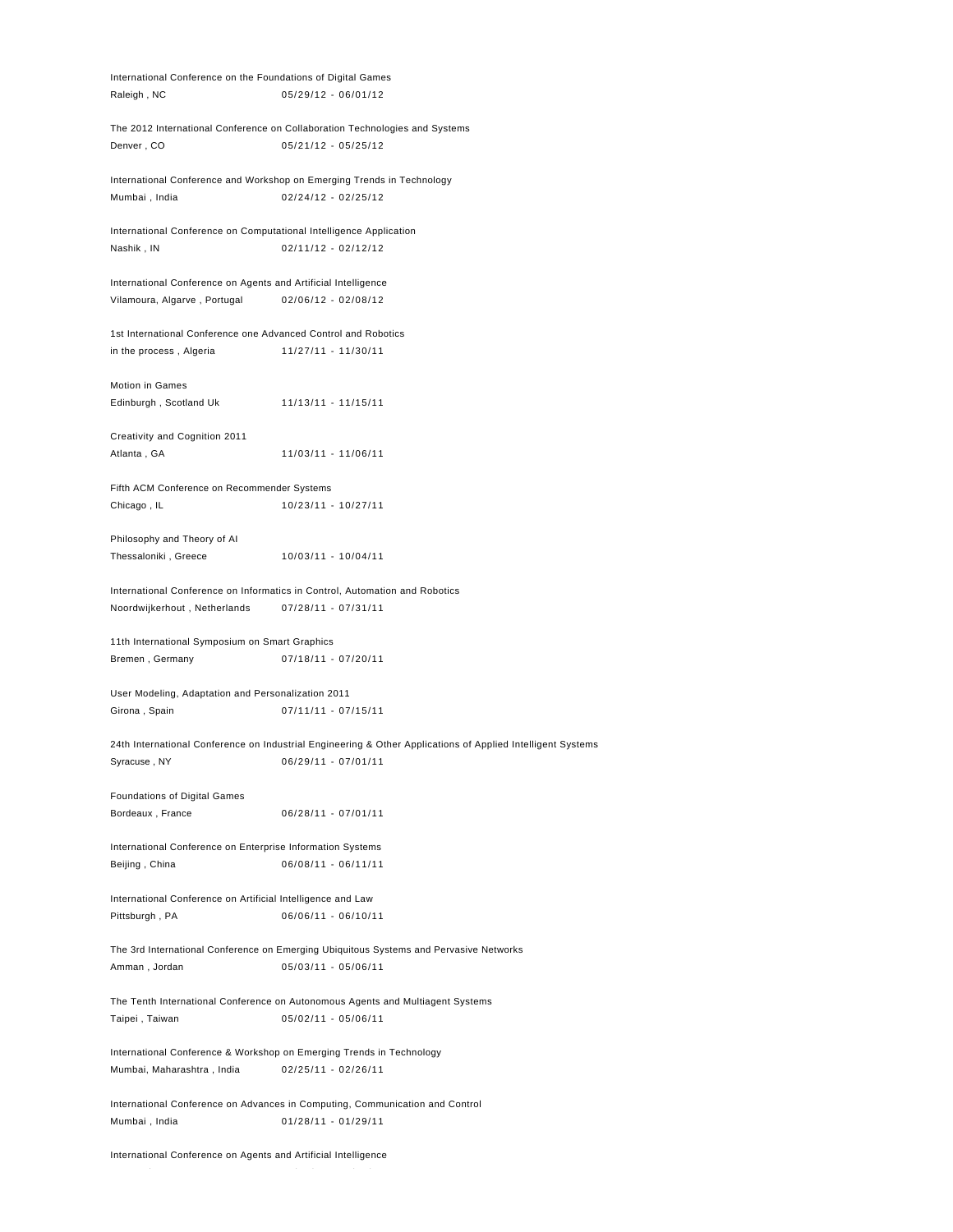```
International Conference on the Foundations of Digital Games 
Raleigh, NC 05/29/12 - 06/01/12
The 2012 International Conference on Collaboration Technologies and Systems 
Denver , CO 05/21/12 - 05/25/12
International Conference and Workshop on Emerging Trends in Technology 
Mumbai , India 02/24/12 - 02/25/12
International Conference on Computational Intelligence Application 
Nashik , IN 02/11/12 - 02/12/12
International Conference on Agents and Artificial Intelligence 
Vilamoura, Algarve , Portugal 02/06/12 - 02/08/12
1st International Conference one Advanced Control and Robotics 
in the process , Algeria 11/27/11 - 11/30/11
Motion in Games 
Edinburgh , Scotland Uk 11/13/11 - 11/15/11
Creativity and Cognition 2011 
Atlanta , GA 11/03/11 - 11/06/11
Fifth ACM Conference on Recommender Systems 
Chicago , IL 10/23/11 - 10/27/11
Philosophy and Theory of AI 
Thessaloniki , Greece 10/03/11 - 10/04/11
International Conference on Informatics in Control, Automation and Robotics 
Noordwijkerhout , Netherlands 07/28/11 - 07/31/11
11th International Symposium on Smart Graphics 
Bremen , Germany 07/18/11 - 07/20/11
User Modeling, Adaptation and Personalization 2011 
Girona, Spain 07/11/11 - 07/15/11
24th International Conference on Industrial Engineering & Other Applications of Applied Intelligent Systems 
Syracuse , NY 06/29/11 - 07/01/11
Foundations of Digital Games 
Bordeaux , France 06/28/11 - 07/01/11
International Conference on Enterprise Information Systems 
Beijing , China 06/08/11 - 06/11/11
International Conference on Artificial Intelligence and Law 
Pittsburgh, PA 06/06/11 - 06/10/11
The 3rd International Conference on Emerging Ubiquitous Systems and Pervasive Networks 
Amman, Jordan 05/03/11 - 05/06/11
The Tenth International Conference on Autonomous Agents and Multiagent Systems 
Taipei, Taiwan 05/02/11 - 05/06/11
International Conference & Workshop on Emerging Trends in Technology 
Mumbai, Maharashtra , India 02/25/11 - 02/26/11
International Conference on Advances in Computing, Communication and Control 
Mumbai , India 01/28/11 - 01/29/11
```

```
International Conference on Agents and Artificial Intelligence
```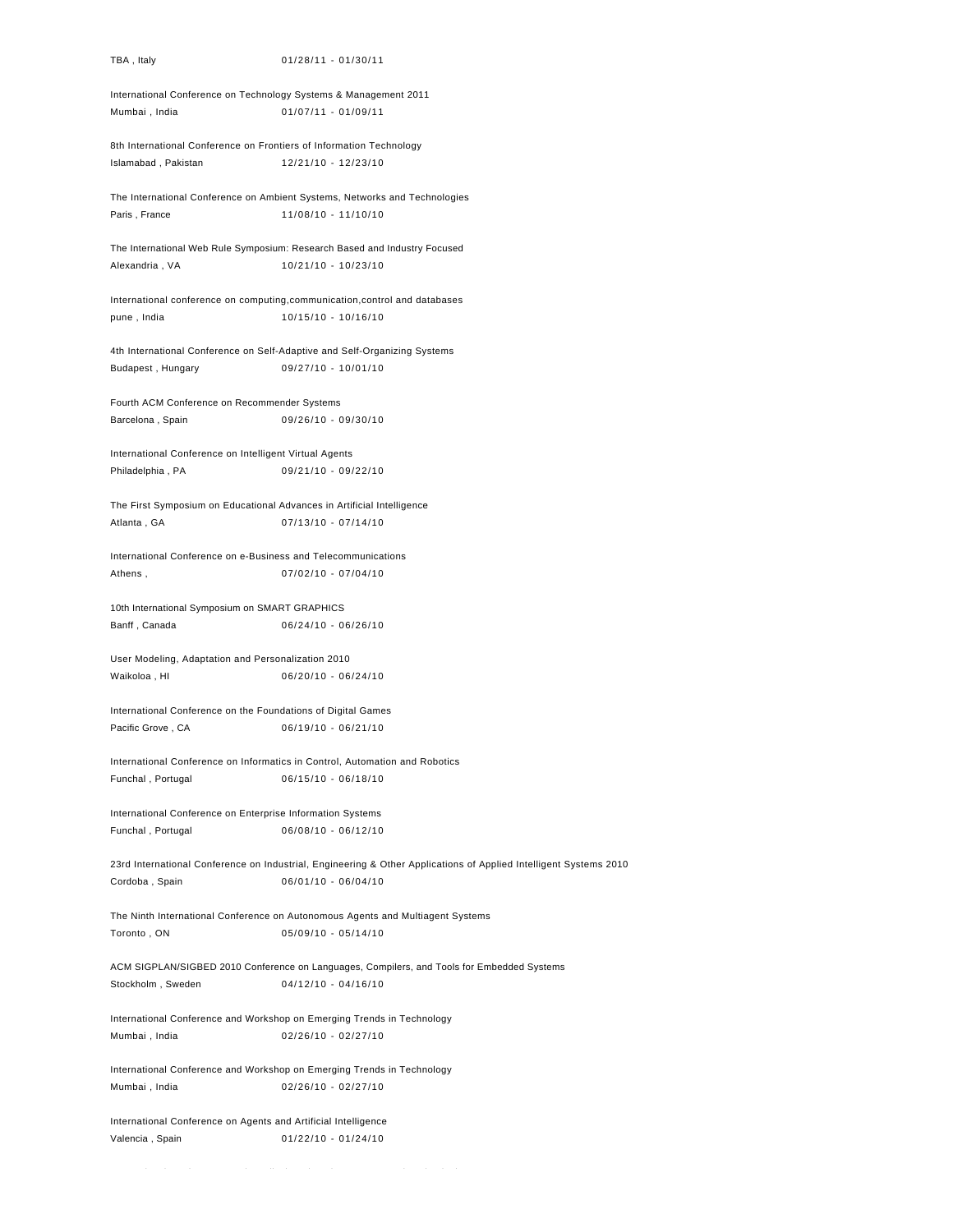| TBA, Italy                                                             | 01/28/11 - 01/30/11                                                                                               |
|------------------------------------------------------------------------|-------------------------------------------------------------------------------------------------------------------|
| International Conference on Technology Systems & Management 2011       |                                                                                                                   |
| Mumbai, India                                                          | $01/07/11 - 01/09/11$                                                                                             |
|                                                                        |                                                                                                                   |
| 8th International Conference on Frontiers of Information Technology    |                                                                                                                   |
| Islamabad, Pakistan                                                    | 12/21/10 - 12/23/10                                                                                               |
|                                                                        | The International Conference on Ambient Systems, Networks and Technologies                                        |
| Paris, France                                                          | 11/08/10 - 11/10/10                                                                                               |
|                                                                        |                                                                                                                   |
|                                                                        | The International Web Rule Symposium: Research Based and Industry Focused                                         |
| Alexandria, VA                                                         | 10/21/10 - 10/23/10                                                                                               |
|                                                                        | International conference on computing, communication, control and databases                                       |
| pune, India                                                            | 10/15/10 - 10/16/10                                                                                               |
|                                                                        |                                                                                                                   |
|                                                                        | 4th International Conference on Self-Adaptive and Self-Organizing Systems                                         |
| Budapest, Hungary                                                      | 09/27/10 - 10/01/10                                                                                               |
| Fourth ACM Conference on Recommender Systems                           |                                                                                                                   |
| Barcelona, Spain                                                       | 09/26/10 - 09/30/10                                                                                               |
|                                                                        |                                                                                                                   |
| International Conference on Intelligent Virtual Agents                 |                                                                                                                   |
| Philadelphia, PA                                                       | 09/21/10 - 09/22/10                                                                                               |
| The First Symposium on Educational Advances in Artificial Intelligence |                                                                                                                   |
| Atlanta, GA                                                            | $07/13/10 - 07/14/10$                                                                                             |
|                                                                        |                                                                                                                   |
| International Conference on e-Business and Telecommunications          |                                                                                                                   |
| Athens,                                                                | $07/02/10 - 07/04/10$                                                                                             |
| 10th International Symposium on SMART GRAPHICS                         |                                                                                                                   |
| Banff, Canada                                                          | $06/24/10 - 06/26/10$                                                                                             |
|                                                                        |                                                                                                                   |
| User Modeling, Adaptation and Personalization 2010                     |                                                                                                                   |
| Waikoloa, HI                                                           | $06/20/10 - 06/24/10$                                                                                             |
| International Conference on the Foundations of Digital Games           |                                                                                                                   |
| Pacific Grove, CA                                                      | 06/19/10 - 06/21/10                                                                                               |
|                                                                        |                                                                                                                   |
|                                                                        | International Conference on Informatics in Control, Automation and Robotics                                       |
| Funchal, Portugal                                                      | $06/15/10 - 06/18/10$                                                                                             |
| International Conference on Enterprise Information Systems             |                                                                                                                   |
| Funchal, Portugal                                                      | $06/08/10 - 06/12/10$                                                                                             |
|                                                                        |                                                                                                                   |
|                                                                        | 23rd International Conference on Industrial, Engineering & Other Applications of Applied Intelligent Systems 2010 |
| Cordoba, Spain                                                         | $06/01/10 - 06/04/10$                                                                                             |
|                                                                        | The Ninth International Conference on Autonomous Agents and Multiagent Systems                                    |
| Toronto, ON                                                            | $05/09/10 - 05/14/10$                                                                                             |
|                                                                        |                                                                                                                   |
|                                                                        | ACM SIGPLAN/SIGBED 2010 Conference on Languages, Compilers, and Tools for Embedded Systems                        |
| Stockholm, Sweden                                                      | $04/12/10 - 04/16/10$                                                                                             |
|                                                                        | International Conference and Workshop on Emerging Trends in Technology                                            |
| Mumbai, India                                                          | $02/26/10 - 02/27/10$                                                                                             |
|                                                                        |                                                                                                                   |
|                                                                        | International Conference and Workshop on Emerging Trends in Technology                                            |
| Mumbai, India                                                          | $02/26/10 - 02/27/10$                                                                                             |
| International Conference on Agents and Artificial Intelligence         |                                                                                                                   |
| Valencia, Spain                                                        | $01/22/10 - 01/24/10$                                                                                             |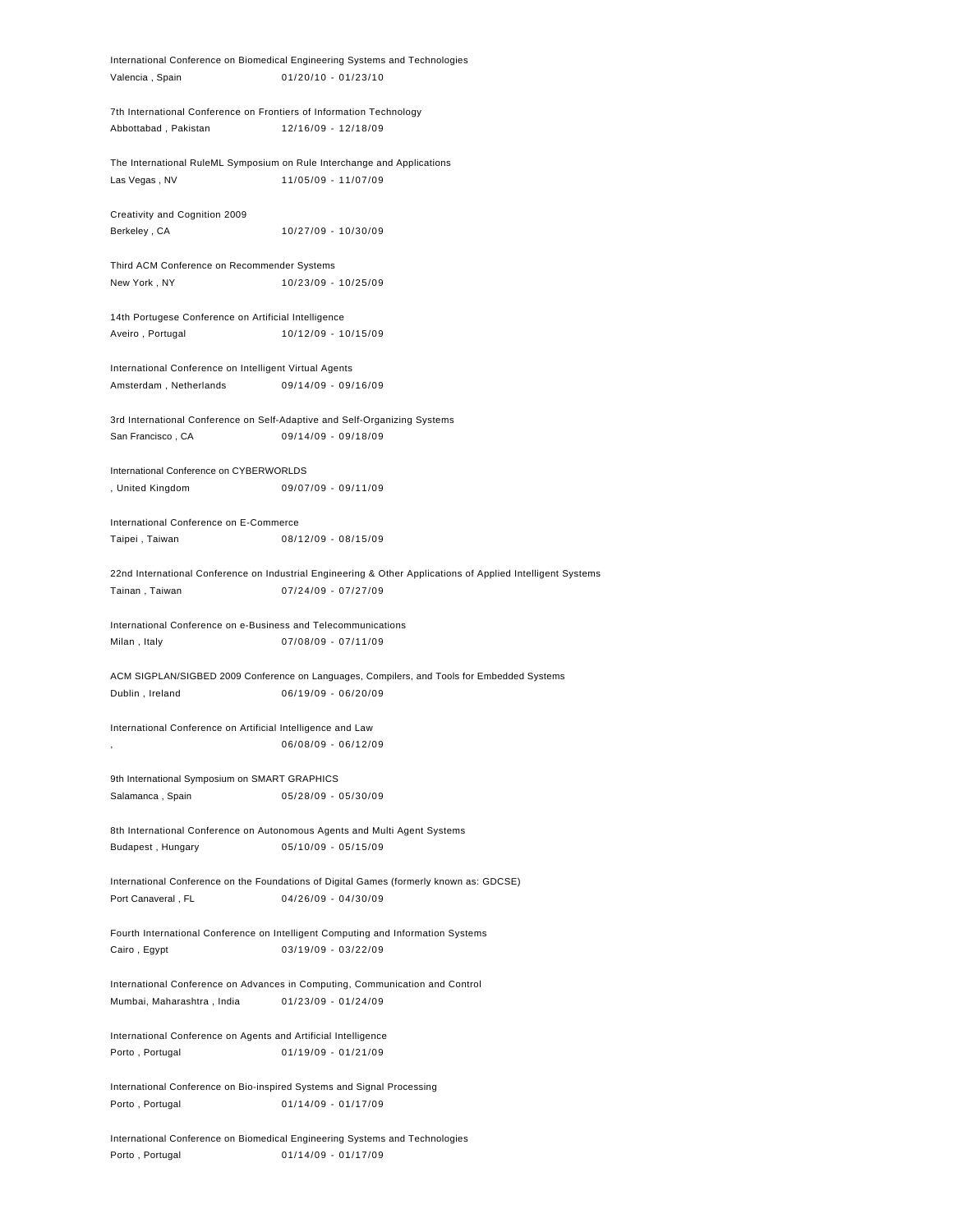|                                                                        | International Conference on Biomedical Engineering Systems and Technologies                                      |
|------------------------------------------------------------------------|------------------------------------------------------------------------------------------------------------------|
| Valencia, Spain                                                        | $01/20/10 - 01/23/10$                                                                                            |
| 7th International Conference on Frontiers of Information Technology    |                                                                                                                  |
| Abbottabad, Pakistan                                                   | 12/16/09 - 12/18/09                                                                                              |
|                                                                        | The International RuleML Symposium on Rule Interchange and Applications                                          |
| Las Vegas, NV                                                          | 11/05/09 - 11/07/09                                                                                              |
|                                                                        |                                                                                                                  |
| Creativity and Cognition 2009                                          | 10/27/09 - 10/30/09                                                                                              |
| Berkeley, CA                                                           |                                                                                                                  |
| Third ACM Conference on Recommender Systems                            |                                                                                                                  |
| New York, NY                                                           | 10/23/09 - 10/25/09                                                                                              |
|                                                                        |                                                                                                                  |
| 14th Portugese Conference on Artificial Intelligence                   |                                                                                                                  |
| Aveiro, Portugal                                                       | 10/12/09 - 10/15/09                                                                                              |
| International Conference on Intelligent Virtual Agents                 |                                                                                                                  |
| Amsterdam, Netherlands                                                 | 09/14/09 - 09/16/09                                                                                              |
|                                                                        |                                                                                                                  |
|                                                                        | 3rd International Conference on Self-Adaptive and Self-Organizing Systems                                        |
| San Francisco, CA                                                      | 09/14/09 - 09/18/09                                                                                              |
| International Conference on CYBERWORLDS                                |                                                                                                                  |
| , United Kingdom                                                       | 09/07/09 - 09/11/09                                                                                              |
|                                                                        |                                                                                                                  |
| International Conference on E-Commerce                                 |                                                                                                                  |
| Taipei, Taiwan                                                         | $08/12/09 - 08/15/09$                                                                                            |
|                                                                        | 22nd International Conference on Industrial Engineering & Other Applications of Applied Intelligent Systems      |
| Tainan, Taiwan                                                         | $07/24/09 - 07/27/09$                                                                                            |
|                                                                        |                                                                                                                  |
| International Conference on e-Business and Telecommunications          |                                                                                                                  |
| Milan, Italy                                                           | 07/08/09 - 07/11/09                                                                                              |
|                                                                        | ACM SIGPLAN/SIGBED 2009 Conference on Languages, Compilers, and Tools for Embedded Systems                       |
| Dublin, Ireland                                                        | 06/19/09 - 06/20/09                                                                                              |
|                                                                        |                                                                                                                  |
| International Conference on Artificial Intelligence and Law            |                                                                                                                  |
|                                                                        | $06/08/09 - 06/12/09$                                                                                            |
| 9th International Symposium on SMART GRAPHICS                          |                                                                                                                  |
| Salamanca, Spain                                                       | $05/28/09 - 05/30/09$                                                                                            |
|                                                                        |                                                                                                                  |
|                                                                        | 8th International Conference on Autonomous Agents and Multi Agent Systems                                        |
| Budapest, Hungary                                                      | $05/10/09 - 05/15/09$                                                                                            |
|                                                                        |                                                                                                                  |
| Port Canaveral, FL                                                     | International Conference on the Foundations of Digital Games (formerly known as: GDCSE)<br>$04/26/09 - 04/30/09$ |
|                                                                        |                                                                                                                  |
|                                                                        | Fourth International Conference on Intelligent Computing and Information Systems                                 |
| Cairo, Egypt                                                           | $03/19/09 - 03/22/09$                                                                                            |
|                                                                        |                                                                                                                  |
|                                                                        | International Conference on Advances in Computing, Communication and Control                                     |
| Mumbai, Maharashtra, India                                             | $01/23/09 - 01/24/09$                                                                                            |
| International Conference on Agents and Artificial Intelligence         |                                                                                                                  |
| Porto, Portugal                                                        | $01/19/09 - 01/21/09$                                                                                            |
|                                                                        |                                                                                                                  |
| International Conference on Bio-inspired Systems and Signal Processing |                                                                                                                  |
| Porto, Portugal                                                        | $01/14/09 - 01/17/09$                                                                                            |
|                                                                        |                                                                                                                  |

International Conference on Biomedical Engineering Systems and Technologies Porto , Portugal 01/14/09 - 01/17/09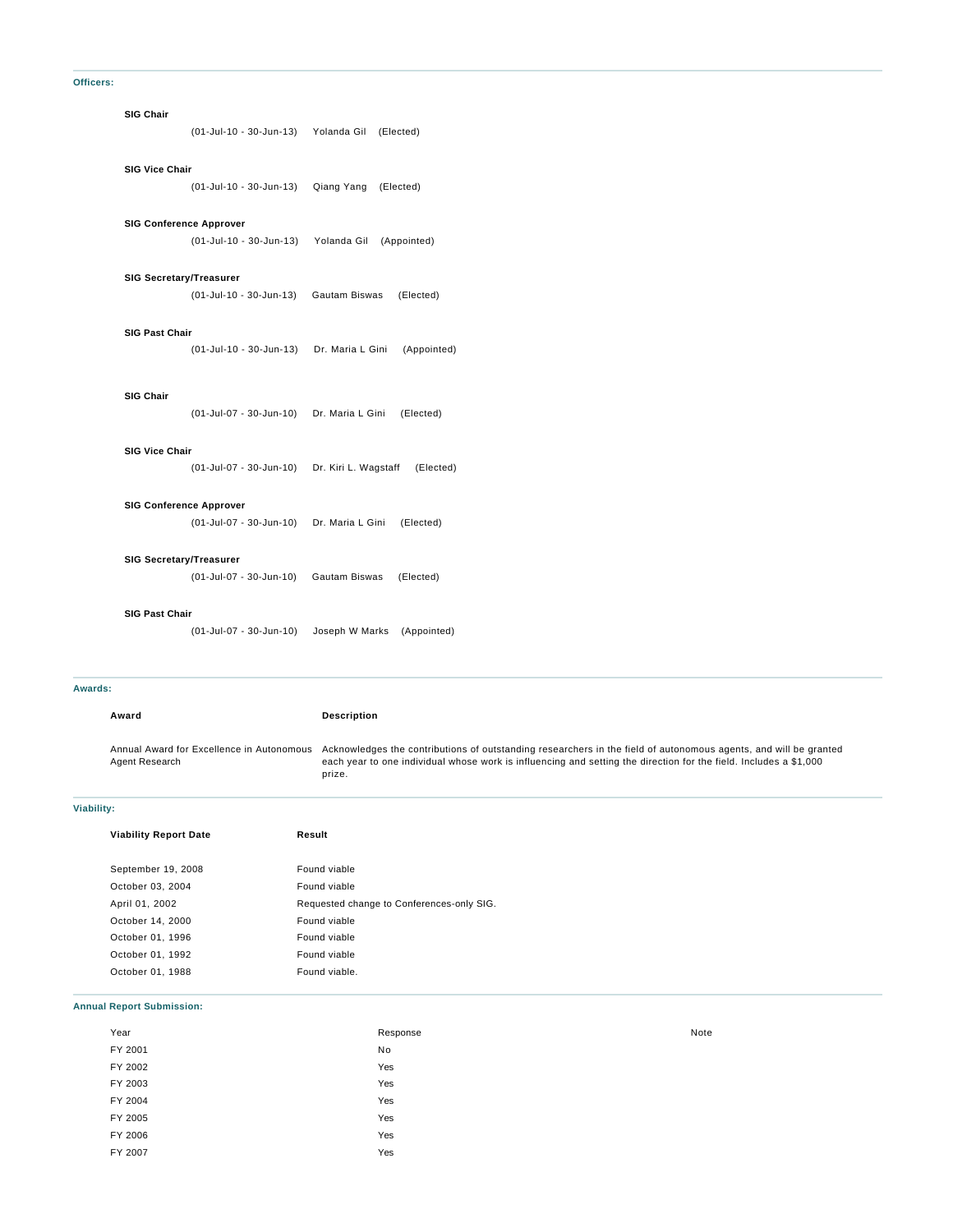### **Officers:**

| (01-Jul-07 - 30-Jun-10)                       | Joseph W Marks<br>(Appointed)     |
|-----------------------------------------------|-----------------------------------|
| <b>SIG Past Chair</b>                         |                                   |
| (01-Jul-07 - 30-Jun-10)                       | Gautam Biswas<br>(Elected)        |
| <b>SIG Secretary/Treasurer</b>                |                                   |
| (01-Jul-07 - 30-Jun-10)                       | Dr. Maria L Gini<br>(Elected)     |
| <b>SIG Conference Approver</b>                |                                   |
| (01-Jul-07 - 30-Jun-10)                       | Dr. Kiri L. Wagstaff<br>(Elected) |
| <b>SIG Vice Chair</b>                         |                                   |
|                                               |                                   |
| <b>SIG Chair</b><br>(01-Jul-07 - 30-Jun-10)   | (Elected)<br>Dr. Maria L Gini     |
|                                               |                                   |
| (01-Jul-10 - 30-Jun-13)                       | Dr. Maria L Gini<br>(Appointed)   |
| <b>SIG Past Chair</b>                         |                                   |
| (01-Jul-10 - 30-Jun-13)                       | Gautam Biswas<br>(Elected)        |
| SIG Secretary/Treasurer                       |                                   |
| (01-Jul-10 - 30-Jun-13)                       | Yolanda Gil (Appointed)           |
| <b>SIG Conference Approver</b>                |                                   |
| (01-Jul-10 - 30-Jun-13) Qiang Yang (Elected)  |                                   |
| <b>SIG Vice Chair</b>                         |                                   |
| (01-Jul-10 - 30-Jun-13) Yolanda Gil (Elected) |                                   |
| <b>SIG Chair</b>                              |                                   |

**Award Description**

# Award

Annual Award for Excellence in Autonomous Agent Research Acknowledges the contributions of outstanding researchers in the field of autonomous agents, and will be granted each year to one individual whose work is influencing and setting the direction for the field. Includes a \$1,000 prize.

### **Viability:**

| <b>Viability Report Date</b> | Result                                    |
|------------------------------|-------------------------------------------|
|                              |                                           |
| September 19, 2008           | Found viable                              |
| October 03, 2004             | Found viable                              |
| April 01, 2002               | Requested change to Conferences-only SIG. |
| October 14, 2000             | Found viable                              |
| October 01, 1996             | Found viable                              |
| October 01, 1992             | Found viable                              |
| October 01, 1988             | Found viable.                             |

### **Annual Report Submission:**

| Year    | Response | Note |
|---------|----------|------|
| FY 2001 | No       |      |
| FY 2002 | Yes      |      |
| FY 2003 | Yes      |      |
| FY 2004 | Yes      |      |
| FY 2005 | Yes      |      |
| FY 2006 | Yes      |      |
| FY 2007 | Yes      |      |